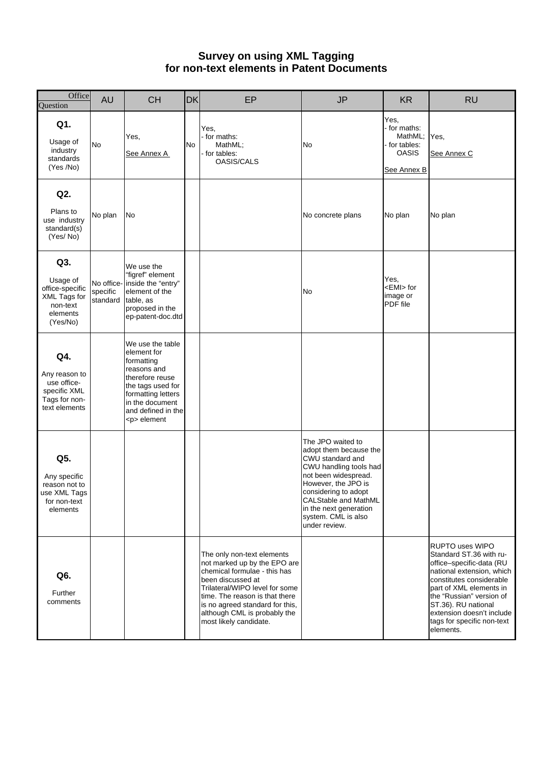#### **Survey on using XML Tagging for non-text elements in Patent Documents**

| Office<br>Question                                                                     | <b>AU</b>                          | <b>CH</b>                                                                                                                                                                              | <b>DK</b> | EP                                                                                                                                                                                                                                                                               | <b>JP</b>                                                                                                                                                                                                                                                         | <b>KR</b>                                                                     | <b>RU</b>                                                                                                                                                                                                                                                                                    |
|----------------------------------------------------------------------------------------|------------------------------------|----------------------------------------------------------------------------------------------------------------------------------------------------------------------------------------|-----------|----------------------------------------------------------------------------------------------------------------------------------------------------------------------------------------------------------------------------------------------------------------------------------|-------------------------------------------------------------------------------------------------------------------------------------------------------------------------------------------------------------------------------------------------------------------|-------------------------------------------------------------------------------|----------------------------------------------------------------------------------------------------------------------------------------------------------------------------------------------------------------------------------------------------------------------------------------------|
| Q1.<br>Usage of<br>industry<br>standards<br>(Yes /No)                                  | <b>No</b>                          | Yes,<br>See Annex A                                                                                                                                                                    | No        | Yes,<br>for maths:<br>MathML;<br>- for tables:<br><b>OASIS/CALS</b>                                                                                                                                                                                                              | No                                                                                                                                                                                                                                                                | Yes,<br>- for maths:<br>MathML;<br>for tables:<br><b>OASIS</b><br>See Annex B | Yes,<br>See Annex C                                                                                                                                                                                                                                                                          |
| Q2.<br>Plans to<br>use industry<br>standard(s)<br>(Yes/No)                             | No plan                            | <b>No</b>                                                                                                                                                                              |           |                                                                                                                                                                                                                                                                                  | No concrete plans                                                                                                                                                                                                                                                 | No plan                                                                       | No plan                                                                                                                                                                                                                                                                                      |
| Q3.<br>Usage of<br>office-specific<br>XML Tags for<br>non-text<br>elements<br>(Yes/No) | No office-<br>specific<br>standard | We use the<br>"figref" element<br>inside the "entry"<br>element of the<br>table, as<br>proposed in the<br>ep-patent-doc.dtd                                                            |           |                                                                                                                                                                                                                                                                                  | No                                                                                                                                                                                                                                                                | Yes,<br><emi> for<br/>image or<br/>PDF file</emi>                             |                                                                                                                                                                                                                                                                                              |
| Q4.<br>Any reason to<br>use office-<br>specific XML<br>Tags for non-<br>text elements  |                                    | We use the table<br>element for<br>formatting<br>reasons and<br>therefore reuse<br>the tags used for<br>formatting letters<br>in the document<br>and defined in the<br><p> element</p> |           |                                                                                                                                                                                                                                                                                  |                                                                                                                                                                                                                                                                   |                                                                               |                                                                                                                                                                                                                                                                                              |
| Q5.<br>Any specific<br>reason not to<br>use XML Tags<br>for non-text<br>elements       |                                    |                                                                                                                                                                                        |           |                                                                                                                                                                                                                                                                                  | The JPO waited to<br>adopt them because the<br>CWU standard and<br>CWU handling tools had<br>not been widespread.<br>However, the JPO is<br>considering to adopt<br><b>CALStable and MathML</b><br>in the next generation<br>system. CML is also<br>under review. |                                                                               |                                                                                                                                                                                                                                                                                              |
| Q6.<br>Further<br>comments                                                             |                                    |                                                                                                                                                                                        |           | The only non-text elements<br>not marked up by the EPO are<br>chemical formulae - this has<br>been discussed at<br>Trilateral/WIPO level for some<br>time. The reason is that there<br>is no agreed standard for this,<br>although CML is probably the<br>most likely candidate. |                                                                                                                                                                                                                                                                   |                                                                               | <b>RUPTO uses WIPO</b><br>Standard ST.36 with ru-<br>office-specific-data (RU<br>national extension, which<br>constitutes considerable<br>part of XML elements in<br>the "Russian" version of<br>ST.36). RU national<br>extension doesn't include<br>tags for specific non-text<br>elements. |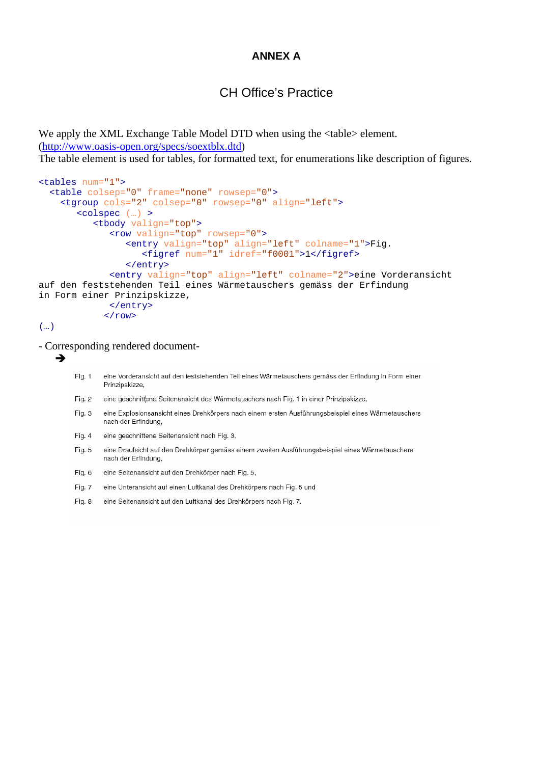### **ANNEX A**

# CH Office's Practice

We apply the XML Exchange Table Model DTD when using the  $\langle$ table> element. (<http://www.oasis-open.org/specs/soextblx.dtd>)

The table element is used for tables, for formatted text, for enumerations like description of figures.

```
<tables num="1"> 
   <table colsep="0" frame="none" rowsep="0"> 
     <tgroup cols="2" colsep="0" rowsep="0" align="left"> 
        <colspec (…) > 
           <tbody valign="top"> 
              <row valign="top" rowsep="0"> 
 <entry valign="top" align="left" colname="1">Fig. 
 <figref num="1" idref="f0001">1</figref>
                 </entry> 
              <entry valign="top" align="left" colname="2">eine Vorderansicht 
auf den feststehenden Teil eines Wärmetauschers gemäss der Erfindung 
in Form einer Prinzipskizze, 
              </entry> 
            \langle / r ow >
```

```
(…)
```
- Corresponding rendered document-

```
\rightarrow
```
eine Vorderansicht auf den feststehenden Teil eines Wärmetauschers gemäss der Erfindung in Form einer Fig. 1 Prinzipskizze.

- eine geschnittene Seitenansicht des Wärmetauschers nach Fig. 1 in einer Prinzipskizze, Fig. 2
- Fig. 3 eine Explosionsansicht eines Drehkörpers nach einem ersten Ausführungsbeispiel eines Wärmetauschers nach der Erfindung.
- eine geschnittene Seitenansicht nach Fig. 3, Fig. 4
- Fig. 5 eine Draufsicht auf den Drehkörper gemäss einem zweiten Ausführungsbeispiel eines Wärmetauschers nach der Erfindung.
- Fig. 6 eine Seitenansicht auf den Drehkörper nach Fig. 5,
- Fig. 7 eine Unteransicht auf einen Luftkanal des Drehkörpers nach Fig. 5 und
- Fig. 8 eine Seitenansicht auf den Luftkanal des Drehkörpers nach Fig. 7.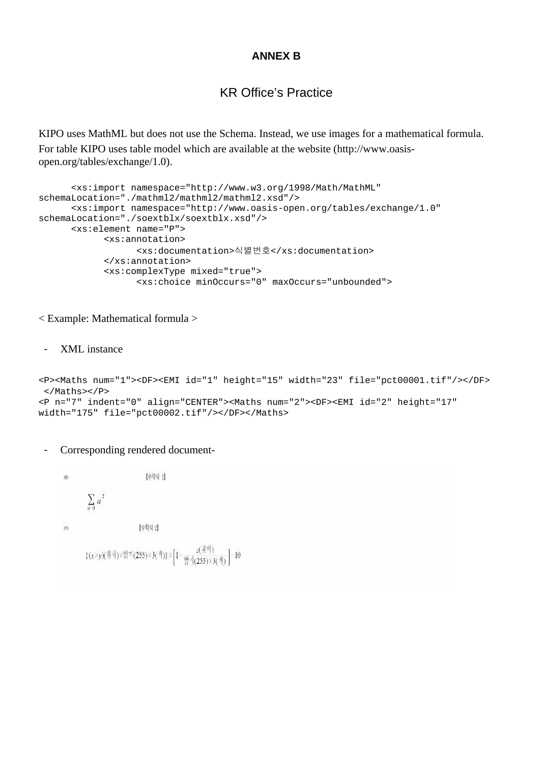#### **ANNEX B**

# KR Office's Practice

KIPO uses MathML but does not use the Schema. Instead, we use images for a mathematical formula. For table KIPO uses table model which are available at the website (http://www.oasisopen.org/tables/exchange/1.0).

```
 <xs:import namespace="http://www.w3.org/1998/Math/MathML" 
schemaLocation="./mathml2/mathml2/mathml2.xsd"/> 
       <xs:import namespace="http://www.oasis-open.org/tables/exchange/1.0" 
schemaLocation="./soextblx/soextblx.xsd"/> 
       <xs:element name="P"> 
             <xs:annotation> 
                    <xs:documentation>식별번호</xs:documentation> 
             </xs:annotation> 
             <xs:complexType mixed="true"> 
                    <xs:choice minOccurs="0" maxOccurs="unbounded">
```
< Example: Mathematical formula >

- XML instance

```
<P><Maths num="1"><DF><EMI id="1" height="15" width="23" file="pct00001.tif"/></DF> 
  </Maths></P> 
<P n="7" indent="0" align="CENTER"><Maths num="2"><DF><EMI id="2" height="17" 
width="175" file="pct00002.tif"/></DF></Maths>
```
- Corresponding rendered document-

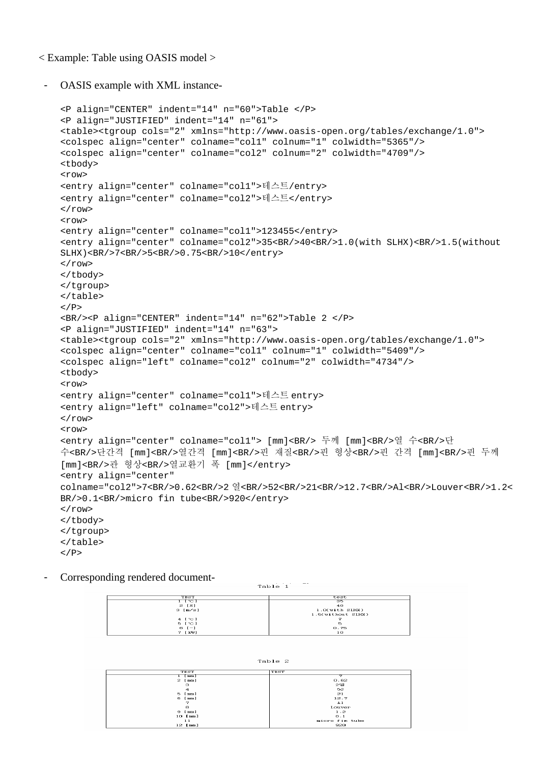< Example: Table using OASIS model >

- OASIS example with XML instance-

```
<P align="CENTER" indent="14" n="60">Table </P> 
<P align="JUSTIFIED" indent="14" n="61"> 
<table><tgroup cols="2" xmlns="http://www.oasis-open.org/tables/exchange/1.0"> 
<colspec align="center" colname="col1" colnum="1" colwidth="5365"/> 
<colspec align="center" colname="col2" colnum="2" colwidth="4709"/> 
<tbody> 
<row> 
<entry align="center" colname="col1">테스트/entry> 
<entry align="center" colname="col2">테스트</entry> 
\langle / r\cap w<row> 
<entry align="center" colname="col1">123455</entry> 
<entry align="center" colname="col2">35<BR/>40<BR/>1.0(with SLHX)<BR/>1.5(without 
SLHX)<BR/>7<BR/>5<BR/>0.75<BR/>10</entry> 
\langlerow>
</tbody> 
</tgroup> 
</table> 
</P>
<BR/><P align="CENTER" indent="14" n="62">Table 2 </P> 
<P align="JUSTIFIED" indent="14" n="63"> 
<table><tgroup cols="2" xmlns="http://www.oasis-open.org/tables/exchange/1.0"> 
<colspec align="center" colname="col1" colnum="1" colwidth="5409"/> 
<colspec align="left" colname="col2" colnum="2" colwidth="4734"/> 
<tbody> 
<row> 
<entry align="center" colname="col1">테스트 entry> 
<entry align="left" colname="col2">테스트 entry> 
\langlerow>
<row><entry align="center" colname="col1"> [mm]<BR/> 두께 [mm]<BR/>열 수<BR/>단
수<BR/>단간격 [mm]<BR/>열간격 [mm]<BR/>핀 재질<BR/>핀 형상<BR/>핀 간격 [mm]<BR/>핀 두께
[mm]<BR/>관 형상<BR/>열교환기 폭 [mm]</entry> 
<entry align="center" 
colname="col2">7<BR/>0.62<BR/>2 열<BR/>52<BR/>21<BR/>12.7<BR/>Al<BR/>Louver<BR/>1.2<
BR/>0.1<BR/>micro fin tube<BR/>920</entry> 
\langlerow>
</tbody> 
</tgroup> 
</table> 
\langle/P>
```
- Corresponding rendered document-

 $\frac{\text{test}}{\text{SE}}$ **TEST** דריים<br>נ≭ו 2<br>נ∍⁄מו 3 35<br>40<br>1.0(with SLHOK)<br>1.5(without SLHOK) 4  $\begin{bmatrix} \sim \\ 5 & \sim \\ 6 & \sim \\ 7 & \text{[kW]} \end{bmatrix}$  $0.75$ 

 $Table 1$